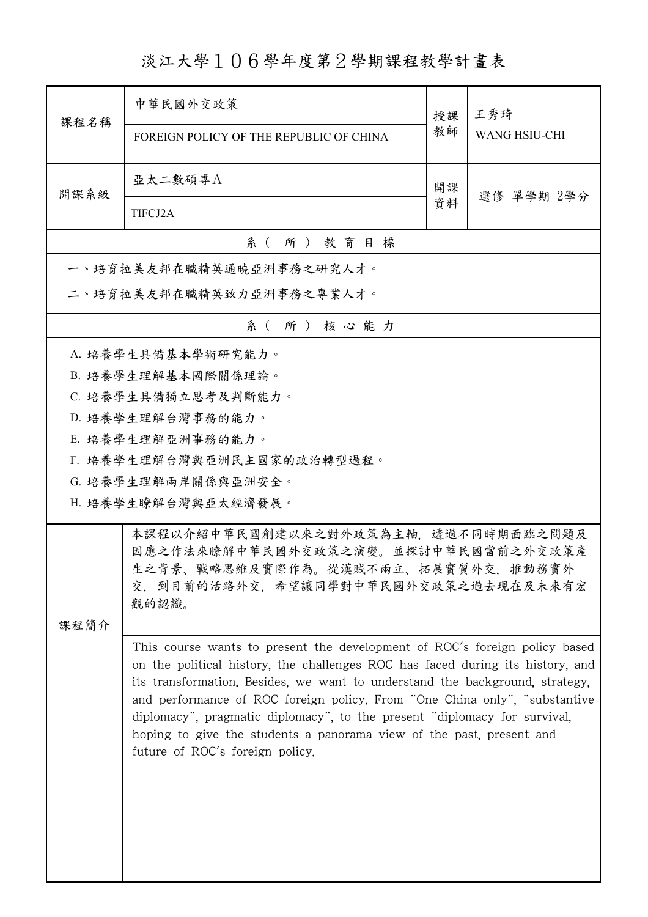淡江大學106學年度第2學期課程教學計畫表

| 課程名稱                     | 中華民國外交政策<br>FOREIGN POLICY OF THE REPUBLIC OF CHINA                                                                                                                                                                                                                                                                                                                                                                                                                                                                 | 授課<br>教師 | 王秀琦<br><b>WANG HSIU-CHI</b> |  |  |
|--------------------------|---------------------------------------------------------------------------------------------------------------------------------------------------------------------------------------------------------------------------------------------------------------------------------------------------------------------------------------------------------------------------------------------------------------------------------------------------------------------------------------------------------------------|----------|-----------------------------|--|--|
| 開課系級                     | 亞太二數碩專A<br>TIFCJ2A                                                                                                                                                                                                                                                                                                                                                                                                                                                                                                  | 開課<br>資料 | 選修 單學期 2學分                  |  |  |
| 系(所)教育目標                 |                                                                                                                                                                                                                                                                                                                                                                                                                                                                                                                     |          |                             |  |  |
|                          | 一、培育拉美友邦在職精英通曉亞洲事務之研究人才。                                                                                                                                                                                                                                                                                                                                                                                                                                                                                            |          |                             |  |  |
| 二、培育拉美友邦在職精英致力亞洲事務之專業人才。 |                                                                                                                                                                                                                                                                                                                                                                                                                                                                                                                     |          |                             |  |  |
|                          | 系(所)核心能力                                                                                                                                                                                                                                                                                                                                                                                                                                                                                                            |          |                             |  |  |
| 课程简介                     | A. 培養學生具備基本學術研究能力。<br>B. 培養學生理解基本國際關係理論。<br>C. 培養學生具備獨立思考及判斷能力。<br>D. 培養學生理解台灣事務的能力。<br>E. 培養學生理解亞洲事務的能力。<br>F. 培養學生理解台灣與亞洲民主國家的政治轉型過程。<br>G. 培養學生理解兩岸關係與亞洲安全。<br>H. 培養學生瞭解台灣與亞太經濟發展。<br>本課程以介紹中華民國創建以來之對外政策為主軸, 透過不同時期面臨之問題及<br>因應之作法來瞭解中華民國外交政策之演變。並探討中華民國當前之外交政策產<br>生之背景、戰略思維及實際作為。從漢賊不兩立、拓展實質外交,推動務實外<br>交,到目前的活路外交,希望讓同學對中華民國外交政策之過去現在及未來有宏<br>觀的認識。                                                                                                                                                          |          |                             |  |  |
|                          | This course wants to present the development of ROC's foreign policy based<br>on the political history, the challenges ROC has faced during its history, and<br>its transformation. Besides, we want to understand the background, strategy,<br>and performance of ROC foreign policy. From "One China only", "substantive"<br>diplomacy", pragmatic diplomacy", to the present "diplomacy for survival,<br>hoping to give the students a panorama view of the past, present and<br>future of ROC's foreign policy. |          |                             |  |  |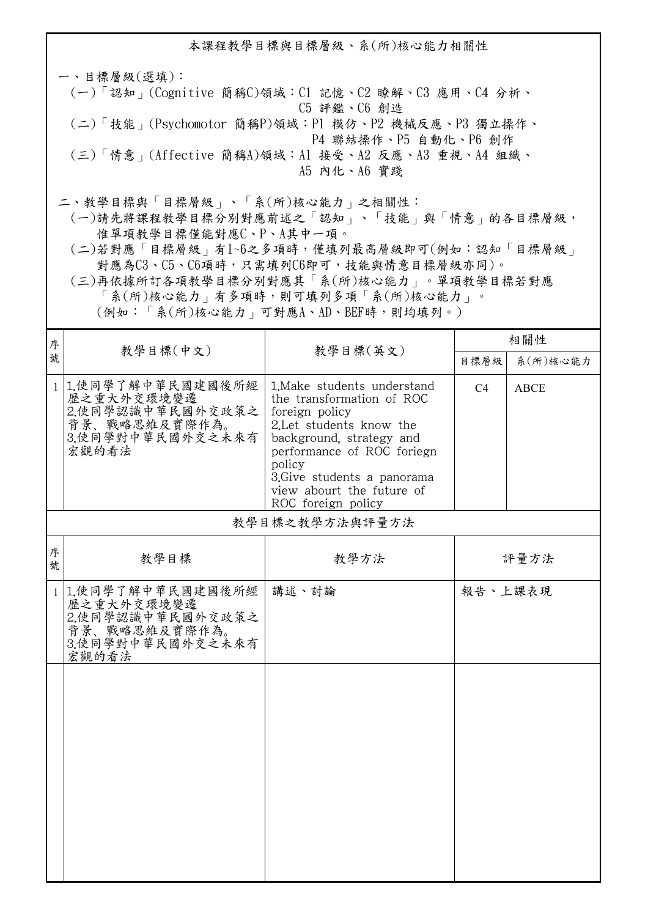本課程教學目標與目標層級、系(所)核心能力相關性 一、目標層級(選填): (一)「認知」(Cognitive 簡稱C)領域:C1 記憶、C2 瞭解、C3 應用、C4 分析、 C5 評鑑、C6 創造 (二)「技能」(Psychomotor 簡稱P)領域:P1 模仿、P2 機械反應、P3 獨立操作、 P4 聯結操作、P5 自動化、P6 創作 (三)「情意」(Affective 簡稱A)領域:A1 接受、A2 反應、A3 重視、A4 組織、 A5 內化、A6 實踐 二、教學目標與「目標層級」、「系(所)核心能力」之相關性:

 (一)請先將課程教學目標分別對應前述之「認知」、「技能」與「情意」的各目標層級, 惟單項教學目標僅能對應C、P、A其中一項。

 (二)若對應「目標層級」有1~6之多項時,僅填列最高層級即可(例如:認知「目標層級」 對應為C3、C5、C6項時,只需填列C6即可,技能與情意目標層級亦同)。

 (三)再依據所訂各項教學目標分別對應其「系(所)核心能力」。單項教學目標若對應 「系(所)核心能力」有多項時,則可填列多項「系(所)核心能力」。

(例如:「系(所)核心能力」可對應A、AD、BEF時,則均填列。)

| 序            |                                                                                                    | 教學目標(英文)                                                                                                                                                                                                                                                    | 相關性            |             |
|--------------|----------------------------------------------------------------------------------------------------|-------------------------------------------------------------------------------------------------------------------------------------------------------------------------------------------------------------------------------------------------------------|----------------|-------------|
| 號            | 教學目標(中文)                                                                                           |                                                                                                                                                                                                                                                             | 目標層級           | 系(所)核心能力    |
|              | 1 1.使同學了解中華民國建國後所經<br>歷之重大外交環境變遷<br>2.使同學認識中華民國外交政策之<br>背景、戰略思維及實際作為。<br>3.使同學對中華民國外交之未來有<br>宏觀的看法 | 1. Make students understand<br>the transformation of ROC<br>foreign policy<br>2.Let students know the<br>background, strategy and<br>performance of ROC foriegn<br>policy<br>3. Give students a panorama<br>view abourt the future of<br>ROC foreign policy | C <sub>4</sub> | <b>ABCE</b> |
|              |                                                                                                    | 教學目標之教學方法與評量方法                                                                                                                                                                                                                                              |                |             |
| 序<br>號       | 教學目標                                                                                               | 教學方法                                                                                                                                                                                                                                                        |                | 評量方法        |
| $\mathbf{1}$ | 1.使同學了解中華民國建國後所經<br>歷之重大外交環境變遷<br>2.使同學認識中華民國外交政策之<br>背景、戰略思維及實際作為。<br>3.使同學對中華民國外交之未來有<br>宏觀的看法   | 講述、討論                                                                                                                                                                                                                                                       | 報告、上課表現        |             |
|              |                                                                                                    |                                                                                                                                                                                                                                                             |                |             |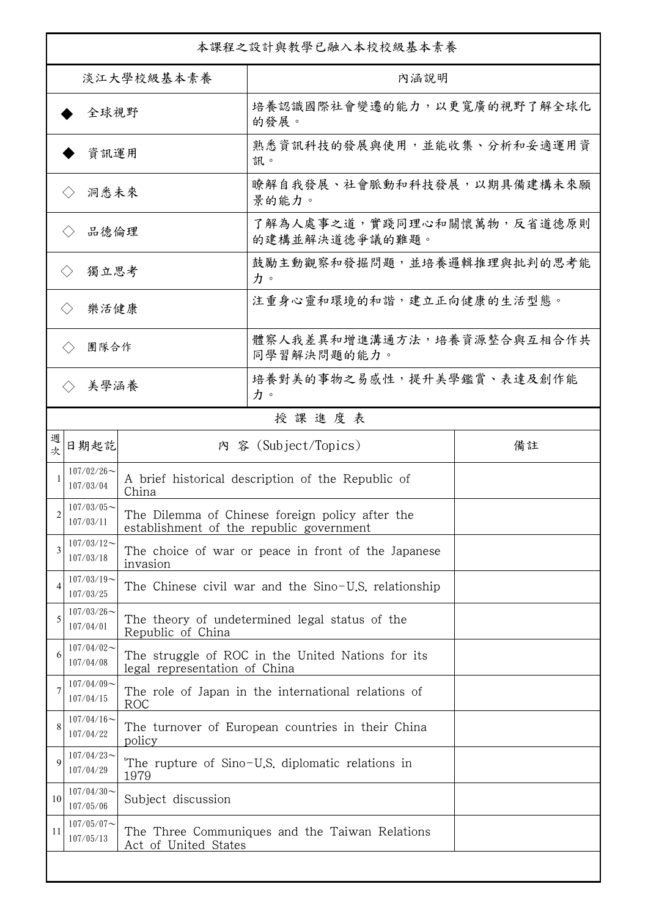| 本課程之設計與教學已融入本校校級基本素養        |                            |                                                                                    |                                                                                             |    |  |
|-----------------------------|----------------------------|------------------------------------------------------------------------------------|---------------------------------------------------------------------------------------------|----|--|
| 淡江大學校級基本素養                  |                            |                                                                                    | 內涵說明                                                                                        |    |  |
| 全球視野                        |                            |                                                                                    | 培養認識國際社會變遷的能力,以更寬廣的視野了解全球化<br>的發展。                                                          |    |  |
| 資訊運用                        |                            |                                                                                    | 熟悉資訊科技的發展與使用,並能收集、分析和妥適運用資<br>訊。                                                            |    |  |
| 洞悉未來                        |                            |                                                                                    | 瞭解自我發展、社會脈動和科技發展,以期具備建構未來願<br>景的能力。                                                         |    |  |
| 品德倫理                        |                            |                                                                                    | 了解為人處事之道,實踐同理心和關懷萬物,反省道德原則<br>的建構並解決道德爭議的難題。                                                |    |  |
| 獨立思考<br>$\langle \rangle$   |                            |                                                                                    | 鼓勵主動觀察和發掘問題,並培養邏輯推理與批判的思考能<br>力。                                                            |    |  |
| 樂活健康<br>$\langle \rangle$   |                            |                                                                                    | 注重身心靈和環境的和諧,建立正向健康的生活型態。                                                                    |    |  |
| 團隊合作<br>$\langle \ \rangle$ |                            |                                                                                    | 體察人我差異和增進溝通方法,培養資源整合與互相合作共<br>同學習解決問題的能力。                                                   |    |  |
|                             | 美學涵養                       |                                                                                    | 培養對美的事物之易感性,提升美學鑑賞、表達及創作能<br>力。                                                             |    |  |
|                             |                            |                                                                                    | 授課進度表                                                                                       |    |  |
| 週<br>欤                      | 日期起訖                       |                                                                                    | 内 容 (Subject/Topics)                                                                        | 備註 |  |
|                             | $107/02/26$ ~<br>107/03/04 | China                                                                              | A brief historical description of the Republic of                                           |    |  |
| $\overline{2}$              | $107/03/05$ ~<br>107/03/11 |                                                                                    | The Dilemma of Chinese foreign policy after the<br>establishment of the republic government |    |  |
| 3                           | $107/03/12$ ~<br>107/03/18 | invasion                                                                           | The choice of war or peace in front of the Japanese                                         |    |  |
|                             | $107/03/19$ ~<br>107/03/25 |                                                                                    | The Chinese civil war and the Sino-U.S. relationship                                        |    |  |
| 5                           | $107/03/26$ ~<br>107/04/01 | The theory of undetermined legal status of the<br>Republic of China                |                                                                                             |    |  |
| 6                           | $107/04/02$ ~<br>107/04/08 | The struggle of ROC in the United Nations for its<br>legal representation of China |                                                                                             |    |  |
|                             | $107/04/09$ ~<br>107/04/15 | The role of Japan in the international relations of<br>ROC                         |                                                                                             |    |  |
| 8                           | $107/04/16$ ~<br>107/04/22 | The turnover of European countries in their China<br>policy                        |                                                                                             |    |  |
| 9                           | $107/04/23$ ~<br>107/04/29 | The rupture of Sino-U.S. diplomatic relations in<br>1979                           |                                                                                             |    |  |
| 10                          | $107/04/30$ ~<br>107/05/06 | Subject discussion                                                                 |                                                                                             |    |  |
| 11                          | $107/05/07$ ~<br>107/05/13 | The Three Communiques and the Taiwan Relations<br>Act of United States             |                                                                                             |    |  |
|                             |                            |                                                                                    |                                                                                             |    |  |